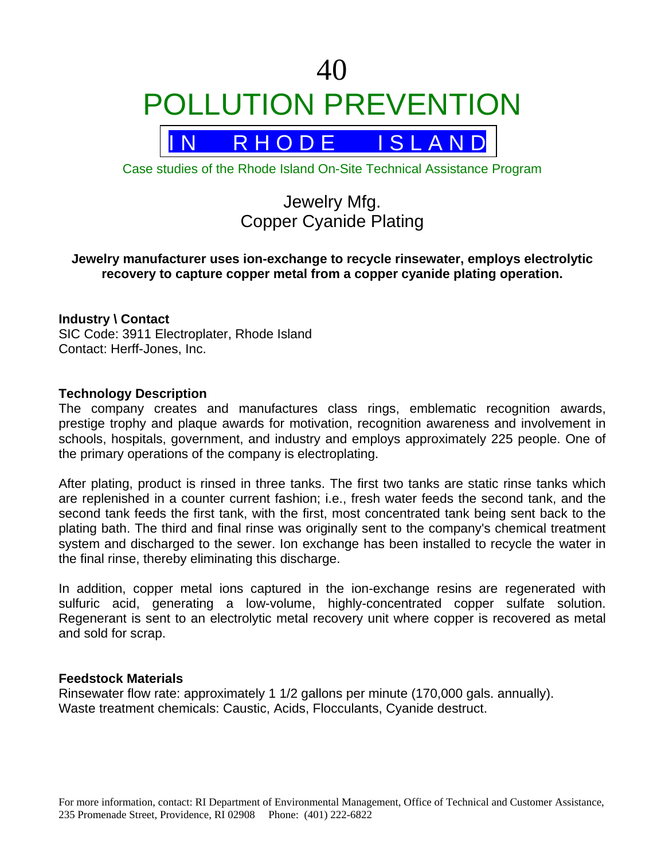# 40 POLLUTION PREVENTION



Case studies of the Rhode Island On-Site Technical Assistance Program

# Jewelry Mfg. Copper Cyanide Plating

# **Jewelry manufacturer uses ion-exchange to recycle rinsewater, employs electrolytic recovery to capture copper metal from a copper cyanide plating operation.**

# **Industry \ Contact**

SIC Code: 3911 Electroplater, Rhode Island Contact: Herff-Jones, Inc.

#### **Technology Description**

The company creates and manufactures class rings, emblematic recognition awards, prestige trophy and plaque awards for motivation, recognition awareness and involvement in schools, hospitals, government, and industry and employs approximately 225 people. One of the primary operations of the company is electroplating.

After plating, product is rinsed in three tanks. The first two tanks are static rinse tanks which are replenished in a counter current fashion; i.e., fresh water feeds the second tank, and the second tank feeds the first tank, with the first, most concentrated tank being sent back to the plating bath. The third and final rinse was originally sent to the company's chemical treatment system and discharged to the sewer. Ion exchange has been installed to recycle the water in the final rinse, thereby eliminating this discharge.

In addition, copper metal ions captured in the ion-exchange resins are regenerated with sulfuric acid, generating a low-volume, highly-concentrated copper sulfate solution. Regenerant is sent to an electrolytic metal recovery unit where copper is recovered as metal and sold for scrap.

#### **Feedstock Materials**

Rinsewater flow rate: approximately 1 1/2 gallons per minute (170,000 gals. annually). Waste treatment chemicals: Caustic, Acids, Flocculants, Cyanide destruct.